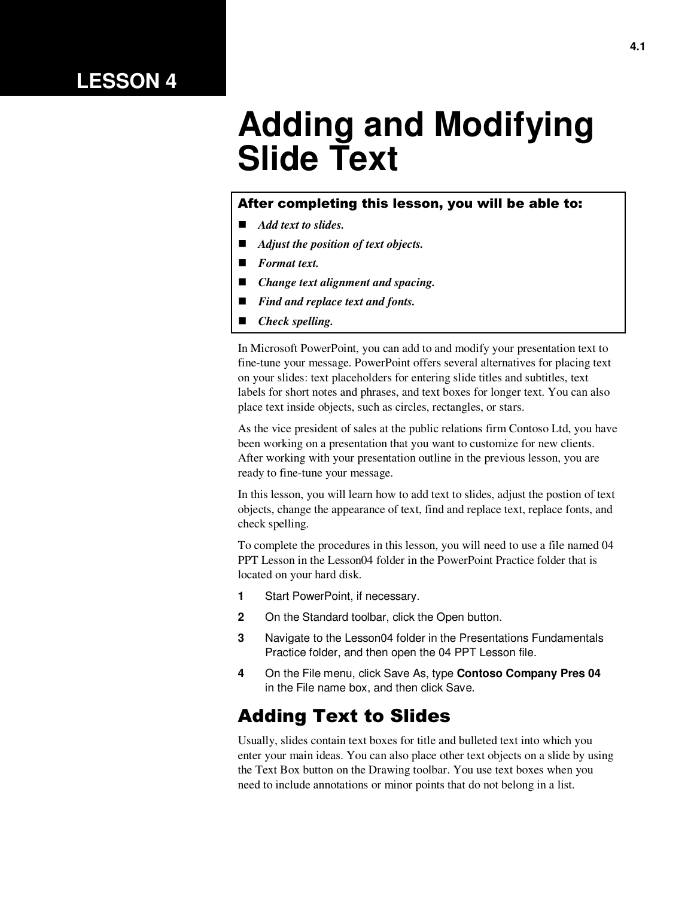## **LESSON 4**

# **Adding and Modifying Slide Text**

#### After completing this lesson, you will be able to:

- *Add text to slides.*
- *Adjust the position of text objects.*
- *Format text.*
- *Change text alignment and spacing.*
- *Find and replace text and fonts.*
- *Check spelling.*

In Microsoft PowerPoint, you can add to and modify your presentation text to fine-tune your message. PowerPoint offers several alternatives for placing text on your slides: text placeholders for entering slide titles and subtitles, text labels for short notes and phrases, and text boxes for longer text. You can also place text inside objects, such as circles, rectangles, or stars.

As the vice president of sales at the public relations firm Contoso Ltd, you have been working on a presentation that you want to customize for new clients. After working with your presentation outline in the previous lesson, you are ready to fine-tune your message.

In this lesson, you will learn how to add text to slides, adjust the postion of text objects, change the appearance of text, find and replace text, replace fonts, and check spelling.

To complete the procedures in this lesson, you will need to use a file named 04 PPT Lesson in the Lesson04 folder in the PowerPoint Practice folder that is located on your hard disk.

- **1** Start PowerPoint, if necessary.
- **2** On the Standard toolbar, click the Open button.
- **3** Navigate to the Lesson04 folder in the Presentations Fundamentals Practice folder, and then open the 04 PPT Lesson file.
- **4** On the File menu, click Save As, type **Contoso Company Pres 04** in the File name box, and then click Save.

#### Adding Text to Slides

Usually, slides contain text boxes for title and bulleted text into which you enter your main ideas. You can also place other text objects on a slide by using the Text Box button on the Drawing toolbar. You use text boxes when you need to include annotations or minor points that do not belong in a list.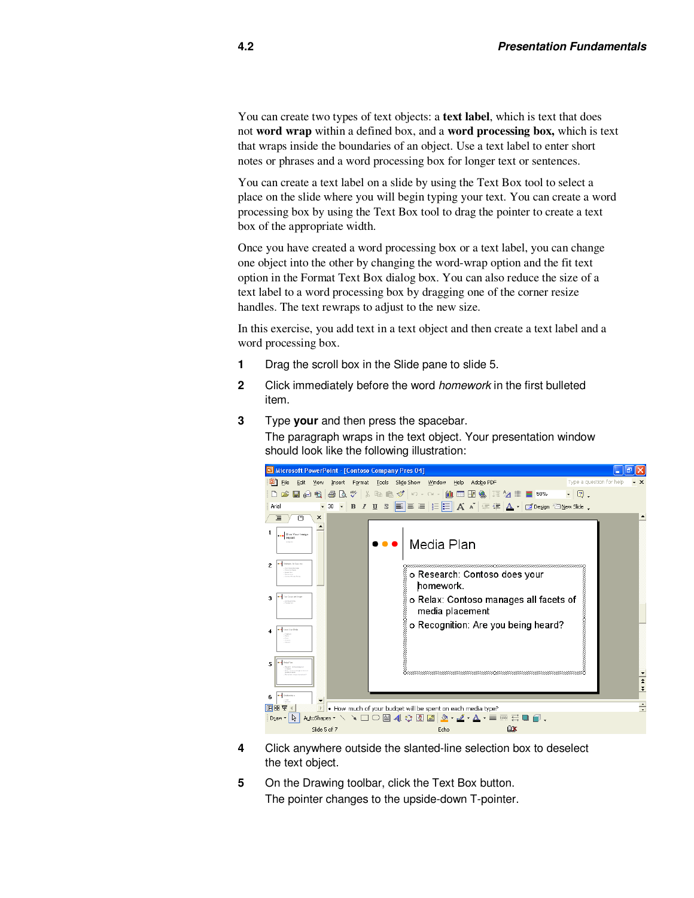You can create two types of text objects: a **text label**, which is text that does not **word wrap** within a defined box, and a **word processing box,** which is text that wraps inside the boundaries of an object. Use a text label to enter short notes or phrases and a word processing box for longer text or sentences.

You can create a text label on a slide by using the Text Box tool to select a place on the slide where you will begin typing your text. You can create a word processing box by using the Text Box tool to drag the pointer to create a text box of the appropriate width.

Once you have created a word processing box or a text label, you can change one object into the other by changing the word-wrap option and the fit text option in the Format Text Box dialog box. You can also reduce the size of a text label to a word processing box by dragging one of the corner resize handles. The text rewraps to adjust to the new size.

In this exercise, you add text in a text object and then create a text label and a word processing box.

- **1** Drag the scroll box in the Slide pane to slide 5.
- **2** Click immediately before the word homework in the first bulleted item.
- **3** Type **your** and then press the spacebar. The paragraph wraps in the text object. Your presentation window should look like the following illustration:



- **4** Click anywhere outside the slanted-line selection box to deselect the text object.
- **5** On the Drawing toolbar, click the Text Box button. The pointer changes to the upside-down T-pointer.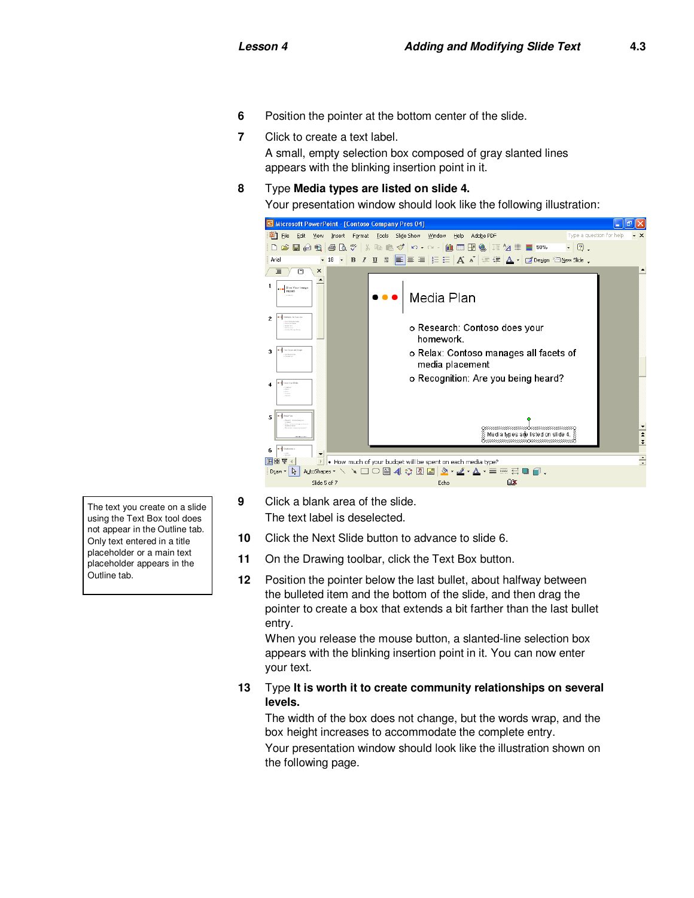- **6** Position the pointer at the bottom center of the slide.
- **7** Click to create a text label. A small, empty selection box composed of gray slanted lines appears with the blinking insertion point in it.
- **8** Type **Media types are listed on slide 4.**

Your presentation window should look like the following illustration:



- **9** Click a blank area of the slide. The text label is deselected.
- **10** Click the Next Slide button to advance to slide 6.
- **11** On the Drawing toolbar, click the Text Box button.
- **12** Position the pointer below the last bullet, about halfway between the bulleted item and the bottom of the slide, and then drag the pointer to create a box that extends a bit farther than the last bullet entry.

When you release the mouse button, a slanted-line selection box appears with the blinking insertion point in it. You can now enter your text.

**13** Type **It is worth it to create community relationships on several levels.**

The width of the box does not change, but the words wrap, and the box height increases to accommodate the complete entry. Your presentation window should look like the illustration shown on the following page.

The text you create on a slide using the Text Box tool does not appear in the Outline tab. Only text entered in a title placeholder or a main text placeholder appears in the Outline tab.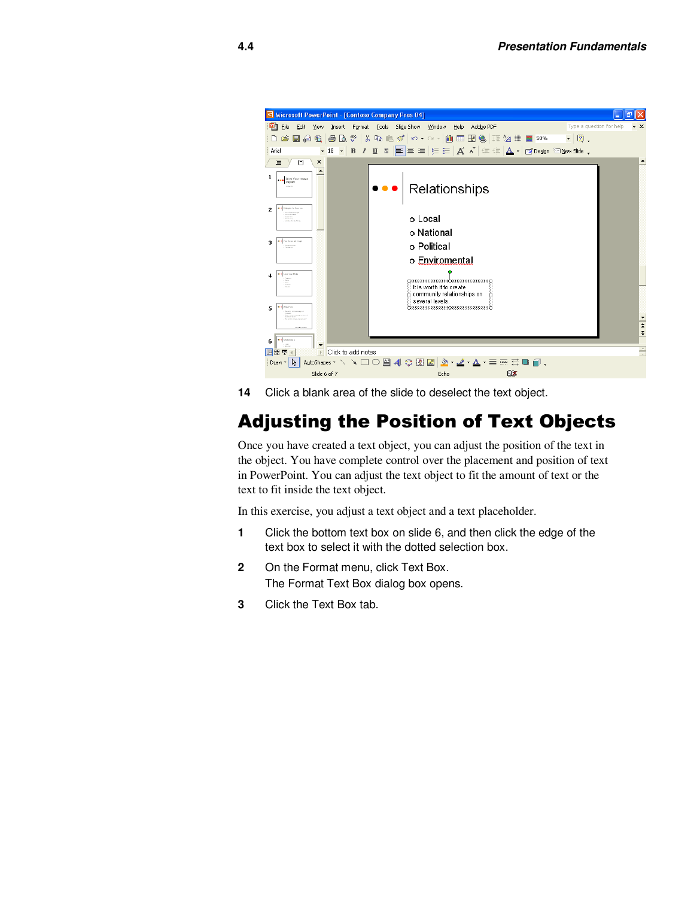

**14** Click a blank area of the slide to deselect the text object.

# Adjusting the Position of Text Objects

Once you have created a text object, you can adjust the position of the text in the object. You have complete control over the placement and position of text in PowerPoint. You can adjust the text object to fit the amount of text or the text to fit inside the text object.

In this exercise, you adjust a text object and a text placeholder.

- **1** Click the bottom text box on slide 6, and then click the edge of the text box to select it with the dotted selection box.
- **2** On the Format menu, click Text Box. The Format Text Box dialog box opens.
- **3** Click the Text Box tab.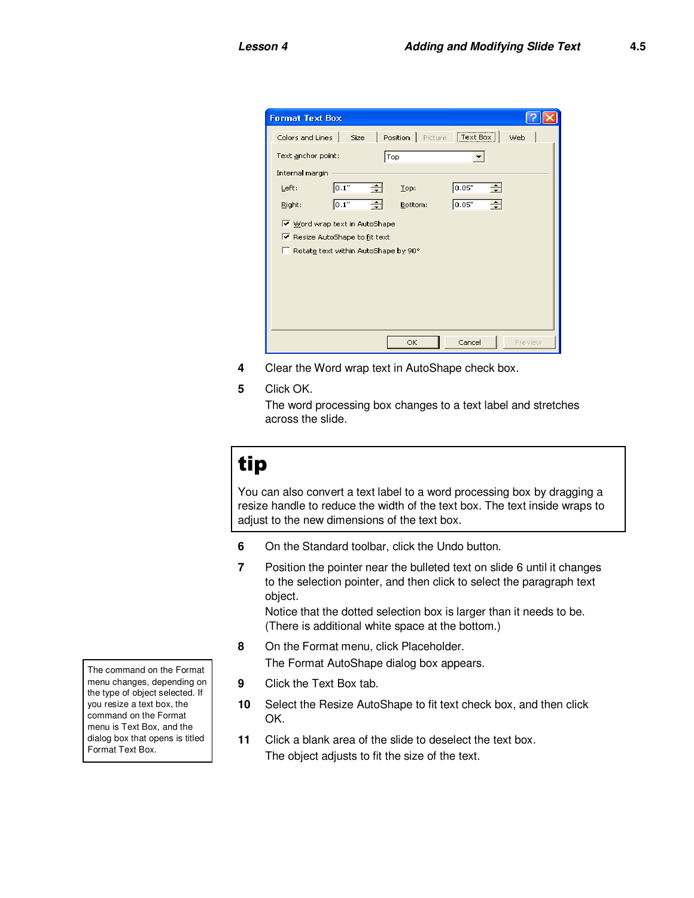| <b>Format Text Box</b>              |                                        |  |  |  |  |
|-------------------------------------|----------------------------------------|--|--|--|--|
| Colors and Lines<br><b>Size</b>     | Position<br>Web<br>Picture<br>Text Box |  |  |  |  |
| Text anchor point:                  | Top                                    |  |  |  |  |
| Internal margin                     |                                        |  |  |  |  |
| 0.1"<br>Left:                       | 0.05"<br>Top:                          |  |  |  |  |
| 0.1"<br>÷<br>Right:                 | 0.05"<br>÷<br>Bottom:                  |  |  |  |  |
| Word wrap text in AutoShape         |                                        |  |  |  |  |
| Resize AutoShape to fit text        |                                        |  |  |  |  |
| Rotate text within AutoShape by 90° |                                        |  |  |  |  |
|                                     |                                        |  |  |  |  |
|                                     |                                        |  |  |  |  |
|                                     |                                        |  |  |  |  |
|                                     |                                        |  |  |  |  |
|                                     | Cancel<br>OK<br>Preview                |  |  |  |  |

- **4** Clear the Word wrap text in AutoShape check box.
- **5** Click OK.

The word processing box changes to a text label and stretches across the slide.

# tip

You can also convert a text label to a word processing box by dragging a resize handle to reduce the width of the text box. The text inside wraps to adjust to the new dimensions of the text box.

- **6** On the Standard toolbar, click the Undo button.
- **7** Position the pointer near the bulleted text on slide 6 until it changes to the selection pointer, and then click to select the paragraph text object.

Notice that the dotted selection box is larger than it needs to be. (There is additional white space at the bottom.)

- **8** On the Format menu, click Placeholder. The Format AutoShape dialog box appears.
- **9** Click the Text Box tab.
- **10** Select the Resize AutoShape to fit text check box, and then click OK.
- **11** Click a blank area of the slide to deselect the text box. The object adjusts to fit the size of the text.

The command on the Format menu changes, depending on the type of object selected. If you resize a text box, the command on the Format menu is Text Box, and the dialog box that opens is titled Format Text Box.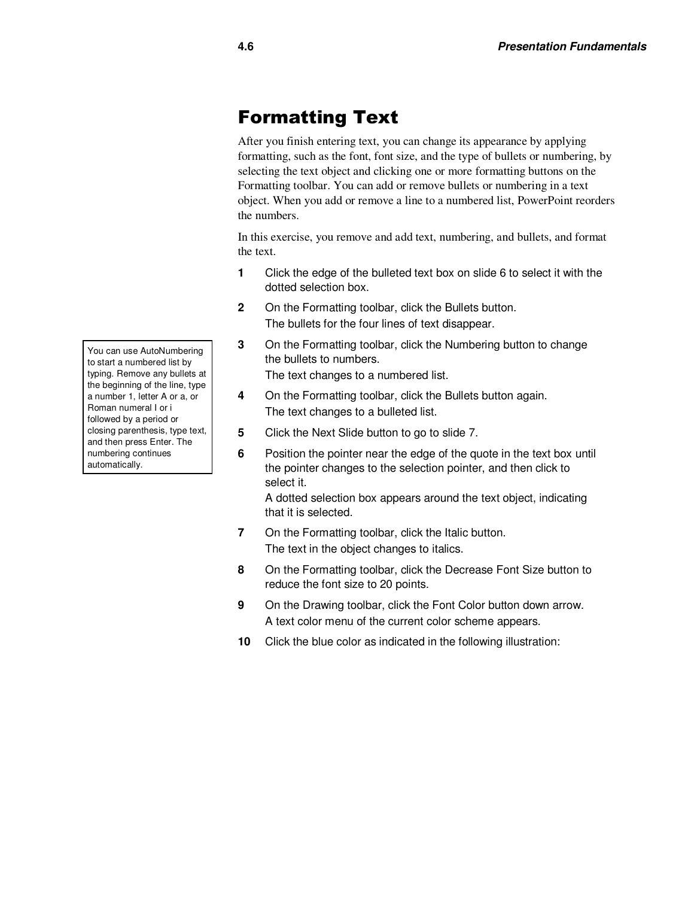### Formatting Text

After you finish entering text, you can change its appearance by applying formatting, such as the font, font size, and the type of bullets or numbering, by selecting the text object and clicking one or more formatting buttons on the Formatting toolbar. You can add or remove bullets or numbering in a text object. When you add or remove a line to a numbered list, PowerPoint reorders the numbers.

In this exercise, you remove and add text, numbering, and bullets, and format the text.

- **1** Click the edge of the bulleted text box on slide 6 to select it with the dotted selection box.
- **2** On the Formatting toolbar, click the Bullets button. The bullets for the four lines of text disappear.
- **3** On the Formatting toolbar, click the Numbering button to change the bullets to numbers. The text changes to a numbered list.
- **4** On the Formatting toolbar, click the Bullets button again. The text changes to a bulleted list.
- **5** Click the Next Slide button to go to slide 7.
- **6** Position the pointer near the edge of the quote in the text box until the pointer changes to the selection pointer, and then click to select it.

A dotted selection box appears around the text object, indicating that it is selected.

- **7** On the Formatting toolbar, click the Italic button. The text in the object changes to italics.
- **8** On the Formatting toolbar, click the Decrease Font Size button to reduce the font size to 20 points.
- **9** On the Drawing toolbar, click the Font Color button down arrow. A text color menu of the current color scheme appears.
- **10** Click the blue color as indicated in the following illustration:

You can use AutoNumbering to start a numbered list by typing. Remove any bullets at the beginning of the line, type a number 1, letter A or a, or Roman numeral I or i followed by a period or closing parenthesis, type text, and then press Enter. The numbering continues automatically.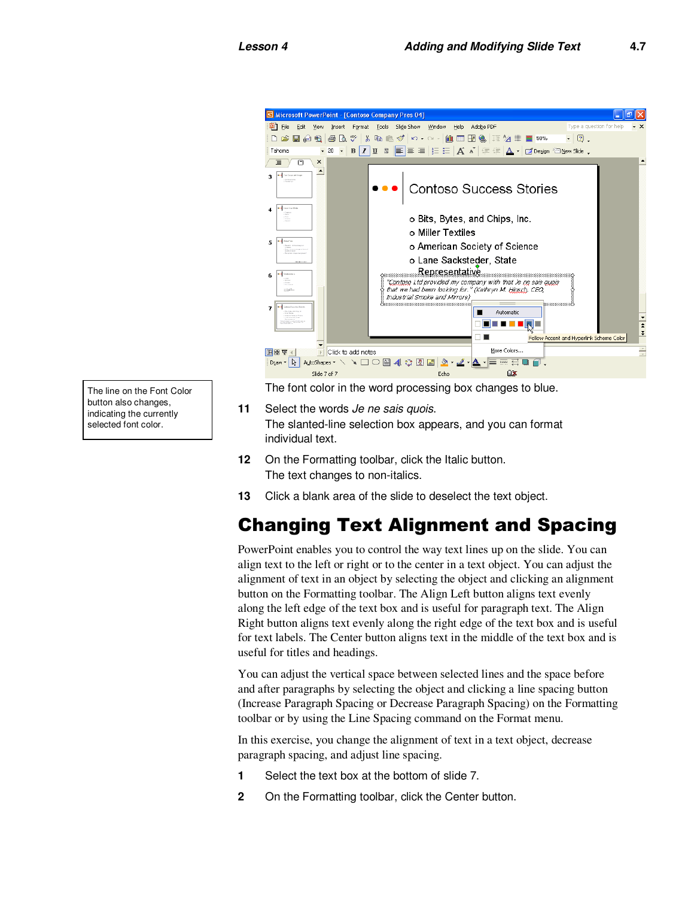

The line on the Font Color button also changes, indicating the currently selected font color.

The font color in the word processing box changes to blue.

- **11** Select the words Je ne sais quois. The slanted-line selection box appears, and you can format individual text.
- **12** On the Formatting toolbar, click the Italic button. The text changes to non-italics.
- **13** Click a blank area of the slide to deselect the text object.

## Changing Text Alignment and Spacing

PowerPoint enables you to control the way text lines up on the slide. You can align text to the left or right or to the center in a text object. You can adjust the alignment of text in an object by selecting the object and clicking an alignment button on the Formatting toolbar. The Align Left button aligns text evenly along the left edge of the text box and is useful for paragraph text. The Align Right button aligns text evenly along the right edge of the text box and is useful for text labels. The Center button aligns text in the middle of the text box and is useful for titles and headings.

You can adjust the vertical space between selected lines and the space before and after paragraphs by selecting the object and clicking a line spacing button (Increase Paragraph Spacing or Decrease Paragraph Spacing) on the Formatting toolbar or by using the Line Spacing command on the Format menu.

In this exercise, you change the alignment of text in a text object, decrease paragraph spacing, and adjust line spacing.

- **1** Select the text box at the bottom of slide 7.
- **2** On the Formatting toolbar, click the Center button.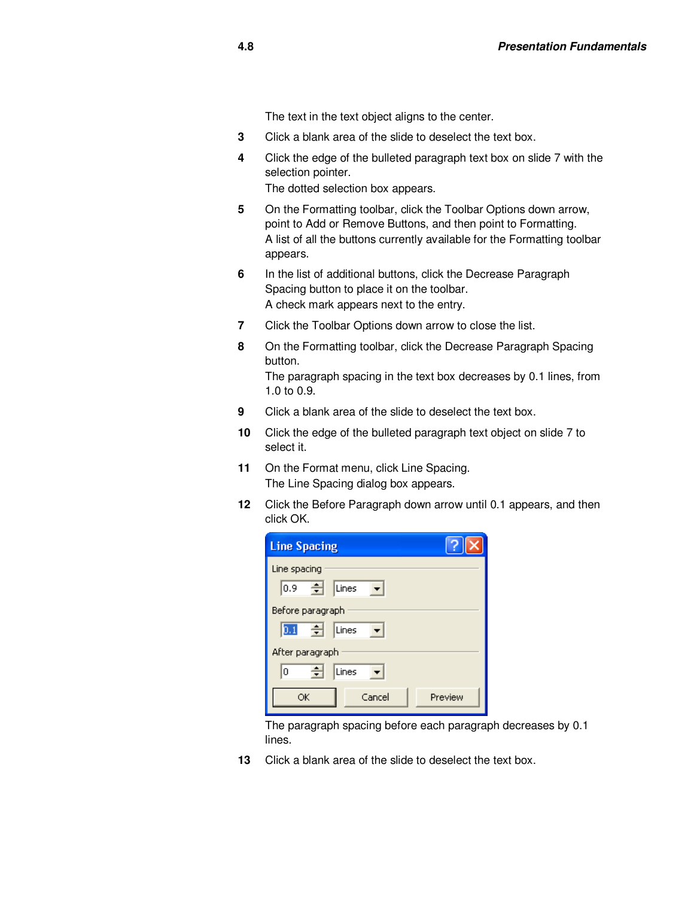The text in the text object aligns to the center.

- **3** Click a blank area of the slide to deselect the text box.
- **4** Click the edge of the bulleted paragraph text box on slide 7 with the selection pointer. The dotted selection box appears.
- **5** On the Formatting toolbar, click the Toolbar Options down arrow, point to Add or Remove Buttons, and then point to Formatting. A list of all the buttons currently available for the Formatting toolbar appears.
- **6** In the list of additional buttons, click the Decrease Paragraph Spacing button to place it on the toolbar. A check mark appears next to the entry.
- **7** Click the Toolbar Options down arrow to close the list.
- **8** On the Formatting toolbar, click the Decrease Paragraph Spacing button.

The paragraph spacing in the text box decreases by 0.1 lines, from 1.0 to 0.9.

- **9** Click a blank area of the slide to deselect the text box.
- **10** Click the edge of the bulleted paragraph text object on slide 7 to select it.
- **11** On the Format menu, click Line Spacing. The Line Spacing dialog box appears.
- **12** Click the Before Paragraph down arrow until 0.1 appears, and then click OK.

| <b>Line Spacing</b>     |  |  |  |  |
|-------------------------|--|--|--|--|
| Line spacing            |  |  |  |  |
| う<br>0.9<br>Lines       |  |  |  |  |
| Before paragraph        |  |  |  |  |
| 뒤<br>0.1<br>Lines       |  |  |  |  |
| After paragraph         |  |  |  |  |
| ÷<br>0<br>Lines         |  |  |  |  |
| Cancel<br>Preview<br>ОК |  |  |  |  |

The paragraph spacing before each paragraph decreases by 0.1 lines.

**13** Click a blank area of the slide to deselect the text box.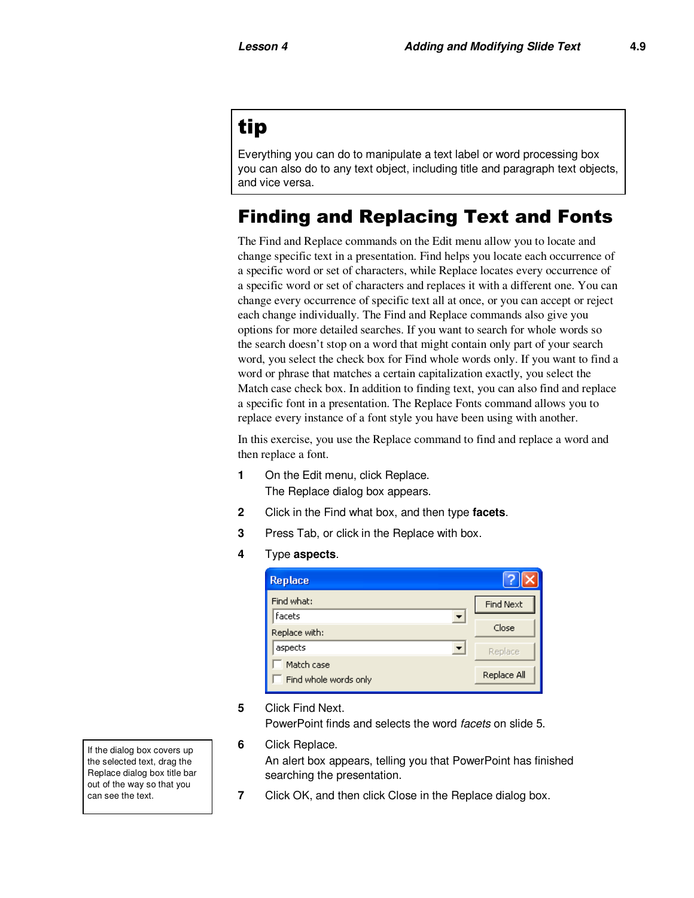## tip

Everything you can do to manipulate a text label or word processing box you can also do to any text object, including title and paragraph text objects, and vice versa.

### Finding and Replacing Text and Fonts

The Find and Replace commands on the Edit menu allow you to locate and change specific text in a presentation. Find helps you locate each occurrence of a specific word or set of characters, while Replace locates every occurrence of a specific word or set of characters and replaces it with a different one. You can change every occurrence of specific text all at once, or you can accept or reject each change individually. The Find and Replace commands also give you options for more detailed searches. If you want to search for whole words so the search doesn't stop on a word that might contain only part of your search word, you select the check box for Find whole words only. If you want to find a word or phrase that matches a certain capitalization exactly, you select the Match case check box. In addition to finding text, you can also find and replace a specific font in a presentation. The Replace Fonts command allows you to replace every instance of a font style you have been using with another.

In this exercise, you use the Replace command to find and replace a word and then replace a font.

- **1** On the Edit menu, click Replace. The Replace dialog box appears.
- **2** Click in the Find what box, and then type **facets**.
- **3** Press Tab, or click in the Replace with box.
- **4** Type **aspects**.

| <b>Replace</b>                      |                  |
|-------------------------------------|------------------|
| Find what:                          | <b>Find Next</b> |
| Facets<br>Replace with:             | Close            |
| aspects                             | Replace          |
| Match case<br>Find whole words only | Replace All      |

**5** Click Find Next.

PowerPoint finds and selects the word *facets* on slide 5.

**6** Click Replace.

An alert box appears, telling you that PowerPoint has finished searching the presentation.

**7** Click OK, and then click Close in the Replace dialog box.

If the dialog box covers up the selected text, drag the Replace dialog box title bar out of the way so that you can see the text.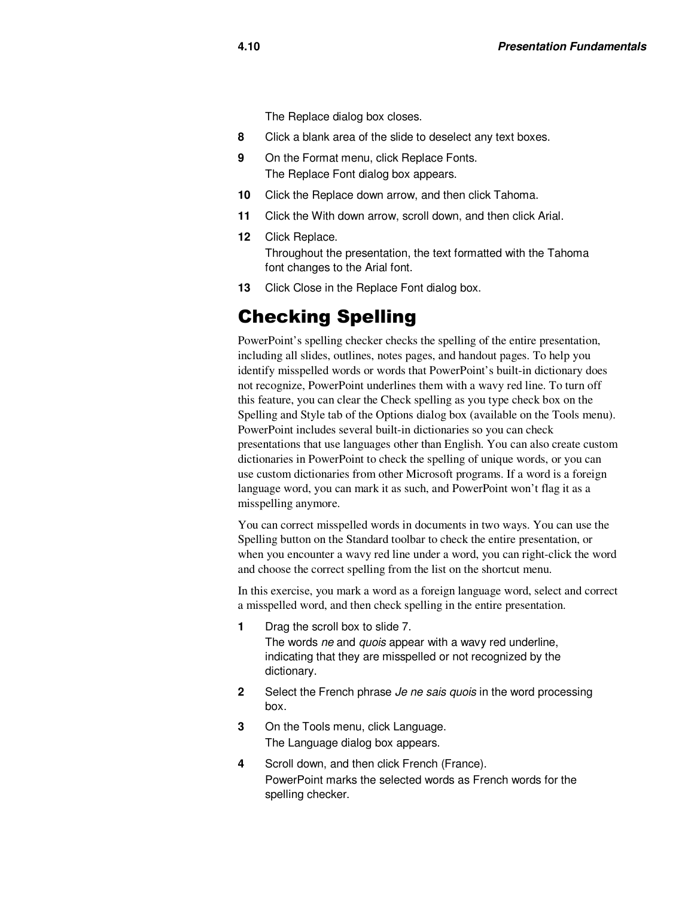The Replace dialog box closes.

- **8** Click a blank area of the slide to deselect any text boxes.
- **9** On the Format menu, click Replace Fonts. The Replace Font dialog box appears.
- **10** Click the Replace down arrow, and then click Tahoma.
- **11** Click the With down arrow, scroll down, and then click Arial.
- **12** Click Replace. Throughout the presentation, the text formatted with the Tahoma font changes to the Arial font.
- 13 Click Close in the Replace Font dialog box.

#### Checking Spelling

PowerPoint's spelling checker checks the spelling of the entire presentation, including all slides, outlines, notes pages, and handout pages. To help you identify misspelled words or words that PowerPoint's built-in dictionary does not recognize, PowerPoint underlines them with a wavy red line. To turn off this feature, you can clear the Check spelling as you type check box on the Spelling and Style tab of the Options dialog box (available on the Tools menu). PowerPoint includes several built-in dictionaries so you can check presentations that use languages other than English. You can also create custom dictionaries in PowerPoint to check the spelling of unique words, or you can use custom dictionaries from other Microsoft programs. If a word is a foreign language word, you can mark it as such, and PowerPoint won't flag it as a misspelling anymore.

You can correct misspelled words in documents in two ways. You can use the Spelling button on the Standard toolbar to check the entire presentation, or when you encounter a wavy red line under a word, you can right-click the word and choose the correct spelling from the list on the shortcut menu.

In this exercise, you mark a word as a foreign language word, select and correct a misspelled word, and then check spelling in the entire presentation.

**1** Drag the scroll box to slide 7.

The words ne and quois appear with a wavy red underline, indicating that they are misspelled or not recognized by the dictionary.

- **2** Select the French phrase Je ne sais quois in the word processing box.
- **3** On the Tools menu, click Language. The Language dialog box appears.
- **4** Scroll down, and then click French (France). PowerPoint marks the selected words as French words for the spelling checker.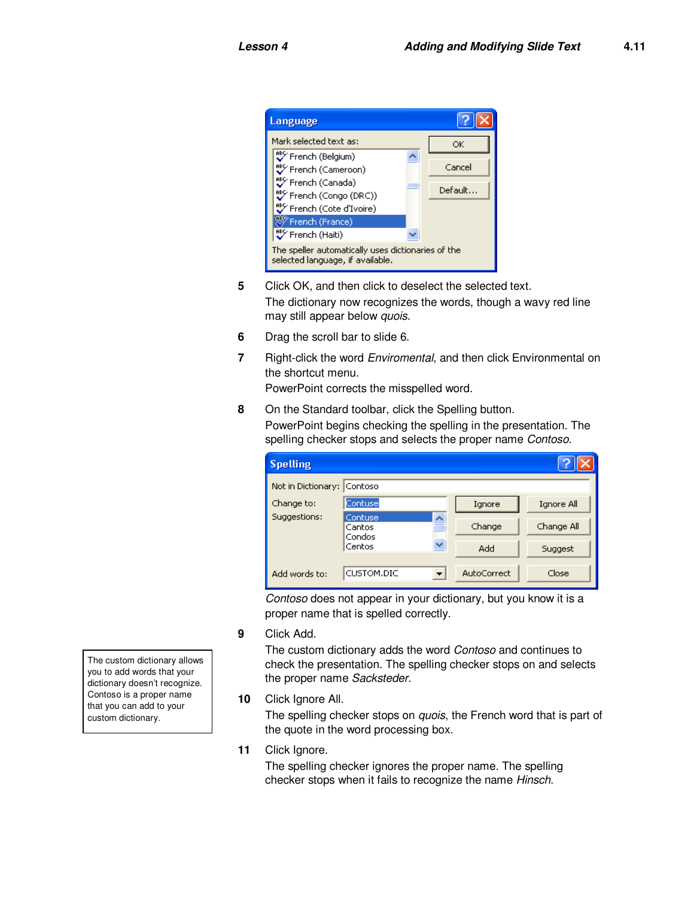

- **5** Click OK, and then click to deselect the selected text. The dictionary now recognizes the words, though a wavy red line may still appear below quois.
- **6** Drag the scroll bar to slide 6.
- **7** Right-click the word Enviromental, and then click Environmental on the shortcut menu.

PowerPoint corrects the misspelled word.

**8** On the Standard toolbar, click the Spelling button. PowerPoint begins checking the spelling in the presentation. The spelling checker stops and selects the proper name Contoso.

| <b>Spelling</b>                                       |            |             |            |
|-------------------------------------------------------|------------|-------------|------------|
| Not in Dictionary: Contoso                            |            |             |            |
| Change to:                                            | Contuse    | Ignore      | Ignore All |
| Suggestions:<br>Contuse<br>Cantos<br>Condos<br>Centos | ㅅ          | Change      | Change All |
|                                                       |            | Add         | Suggest    |
| Add words to:                                         | CUSTOM.DIC | AutoCorrect | Close      |

Contoso does not appear in your dictionary, but you know it is a proper name that is spelled correctly.

**9** Click Add.

The custom dictionary adds the word Contoso and continues to check the presentation. The spelling checker stops on and selects the proper name Sacksteder.

**10** Click Ignore All.

The spelling checker stops on *quois*, the French word that is part of the quote in the word processing box.

**11** Click Ignore.

The spelling checker ignores the proper name. The spelling checker stops when it fails to recognize the name Hinsch.

The custom dictionary allows you to add words that your dictionary doesn't recognize. Contoso is a proper name that you can add to your custom dictionary.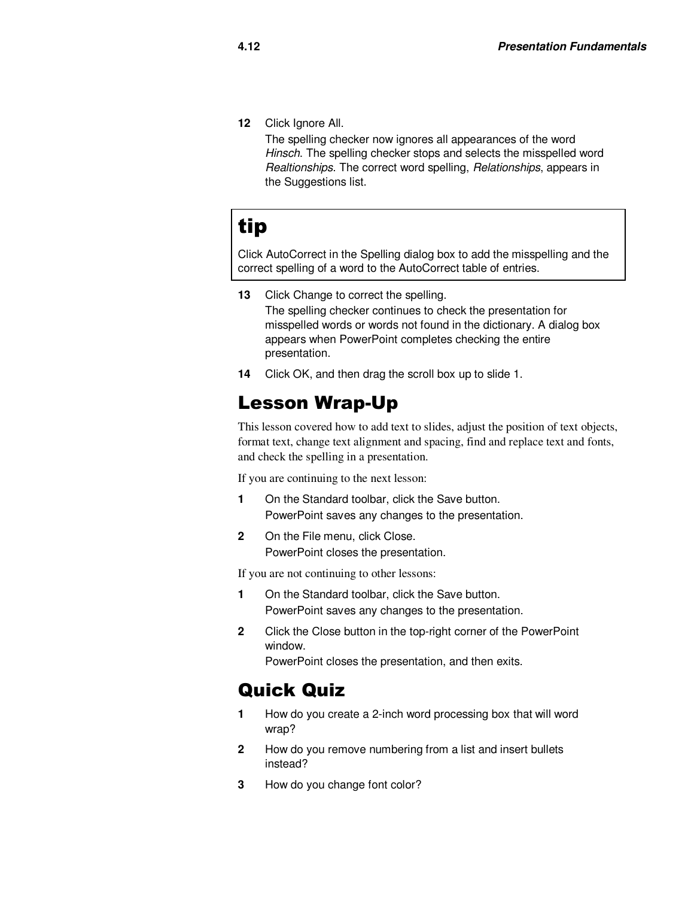**12** Click Ignore All.

The spelling checker now ignores all appearances of the word Hinsch. The spelling checker stops and selects the misspelled word Realtionships. The correct word spelling, Relationships, appears in the Suggestions list.

# tip

Click AutoCorrect in the Spelling dialog box to add the misspelling and the correct spelling of a word to the AutoCorrect table of entries.

13 Click Change to correct the spelling.

The spelling checker continues to check the presentation for misspelled words or words not found in the dictionary. A dialog box appears when PowerPoint completes checking the entire presentation.

**14** Click OK, and then drag the scroll box up to slide 1.

#### Lesson Wrap-Up

This lesson covered how to add text to slides, adjust the position of text objects, format text, change text alignment and spacing, find and replace text and fonts, and check the spelling in a presentation.

If you are continuing to the next lesson:

- **1** On the Standard toolbar, click the Save button. PowerPoint saves any changes to the presentation.
- 2 On the File menu, click Close. PowerPoint closes the presentation.

If you are not continuing to other lessons:

- **1** On the Standard toolbar, click the Save button. PowerPoint saves any changes to the presentation.
- **2** Click the Close button in the top-right corner of the PowerPoint window.

PowerPoint closes the presentation, and then exits.

#### Quick Quiz

- **1** How do you create a 2-inch word processing box that will word wrap?
- **2** How do you remove numbering from a list and insert bullets instead?
- **3** How do you change font color?